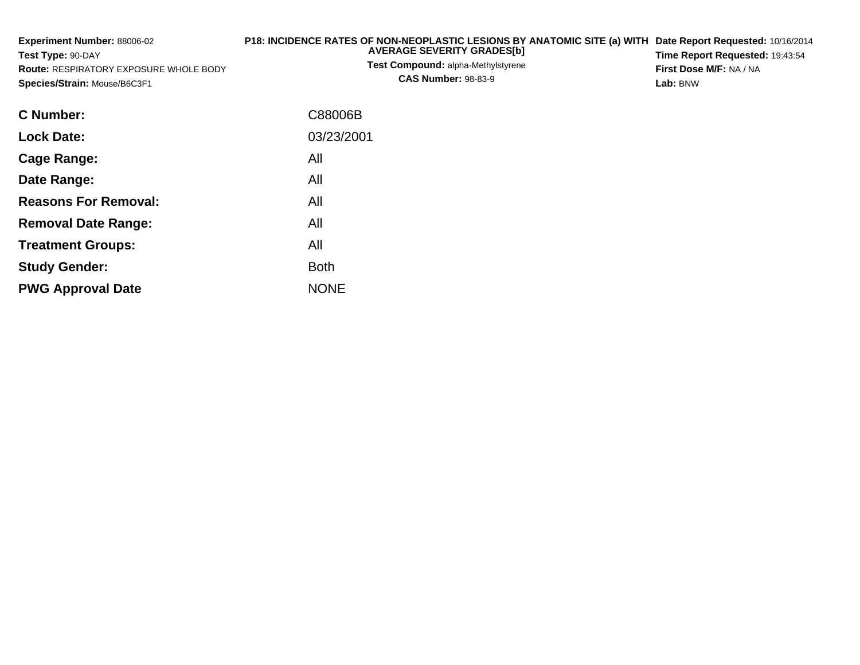| Experiment Number: 88006-02<br>Test Type: 90-DAY<br><b>Route: RESPIRATORY EXPOSURE WHOLE BODY</b><br>Species/Strain: Mouse/B6C3F1 | P18: INCIDENCE RATES OF NON-NEOPLASTIC LESIONS BY ANATOMIC SITE (a) WITH Date Report Requested: 10/16/2014<br><b>AVERAGE SEVERITY GRADES[b]</b><br>Test Compound: alpha-Methylstyrene<br><b>CAS Number: 98-83-9</b> | Time Report Requested: 19:43:54<br>First Dose M/F: NA / NA<br>Lab: BNW |
|-----------------------------------------------------------------------------------------------------------------------------------|---------------------------------------------------------------------------------------------------------------------------------------------------------------------------------------------------------------------|------------------------------------------------------------------------|
| C Number:                                                                                                                         | C88006B                                                                                                                                                                                                             |                                                                        |
| <b>Lock Date:</b>                                                                                                                 | 03/23/2001                                                                                                                                                                                                          |                                                                        |
| Cage Range:                                                                                                                       | All                                                                                                                                                                                                                 |                                                                        |
| Date Range:                                                                                                                       | All                                                                                                                                                                                                                 |                                                                        |
| <b>Reasons For Removal:</b>                                                                                                       | All                                                                                                                                                                                                                 |                                                                        |
| <b>Removal Date Range:</b>                                                                                                        | All                                                                                                                                                                                                                 |                                                                        |
| <b>Treatment Groups:</b>                                                                                                          | All                                                                                                                                                                                                                 |                                                                        |

Both

e NONE

**Study Gender:**

**PWG Approval Date**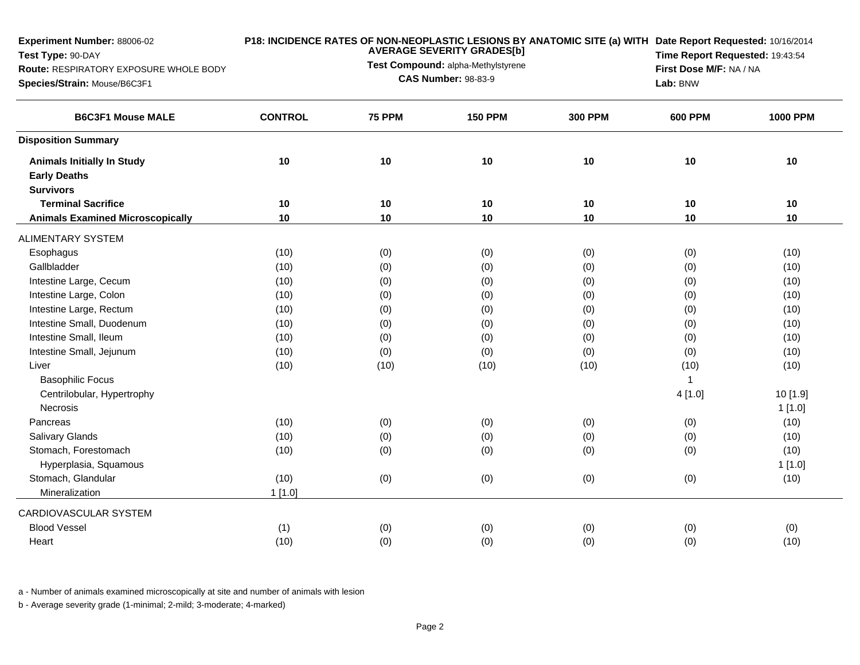| Experiment Number: 88006-02                                 |                | P18: INCIDENCE RATES OF NON-NEOPLASTIC LESIONS BY ANATOMIC SITE (a) WITH Date Report Requested: 10/16/2014<br><b>AVERAGE SEVERITY GRADES[b]</b> |                                     |                |                |                 |  |
|-------------------------------------------------------------|----------------|-------------------------------------------------------------------------------------------------------------------------------------------------|-------------------------------------|----------------|----------------|-----------------|--|
| Test Type: 90-DAY<br>Route: RESPIRATORY EXPOSURE WHOLE BODY |                |                                                                                                                                                 | Time Report Requested: 19:43:54     |                |                |                 |  |
| Species/Strain: Mouse/B6C3F1                                |                | Test Compound: alpha-Methylstyrene<br><b>CAS Number: 98-83-9</b>                                                                                | First Dose M/F: NA / NA<br>Lab: BNW |                |                |                 |  |
| <b>B6C3F1 Mouse MALE</b>                                    | <b>CONTROL</b> | <b>75 PPM</b>                                                                                                                                   | <b>150 PPM</b>                      | <b>300 PPM</b> | <b>600 PPM</b> | <b>1000 PPM</b> |  |
| <b>Disposition Summary</b>                                  |                |                                                                                                                                                 |                                     |                |                |                 |  |
| <b>Animals Initially In Study</b>                           | 10             | 10                                                                                                                                              | 10                                  | 10             | 10             | 10              |  |
| <b>Early Deaths</b>                                         |                |                                                                                                                                                 |                                     |                |                |                 |  |
| <b>Survivors</b>                                            |                |                                                                                                                                                 |                                     |                |                |                 |  |
| <b>Terminal Sacrifice</b>                                   | 10             | 10                                                                                                                                              | 10                                  | 10             | 10             | 10              |  |
| <b>Animals Examined Microscopically</b>                     | 10             | 10                                                                                                                                              | 10                                  | 10             | 10             | 10              |  |
| <b>ALIMENTARY SYSTEM</b>                                    |                |                                                                                                                                                 |                                     |                |                |                 |  |
| Esophagus                                                   | (10)           | (0)                                                                                                                                             | (0)                                 | (0)            | (0)            | (10)            |  |
| Gallbladder                                                 | (10)           | (0)                                                                                                                                             | (0)                                 | (0)            | (0)            | (10)            |  |
| Intestine Large, Cecum                                      | (10)           | (0)                                                                                                                                             | (0)                                 | (0)            | (0)            | (10)            |  |
| Intestine Large, Colon                                      | (10)           | (0)                                                                                                                                             | (0)                                 | (0)            | (0)            | (10)            |  |
| Intestine Large, Rectum                                     | (10)           | (0)                                                                                                                                             | (0)                                 | (0)            | (0)            | (10)            |  |
| Intestine Small, Duodenum                                   | (10)           | (0)                                                                                                                                             | (0)                                 | (0)            | (0)            | (10)            |  |
| Intestine Small, Ileum                                      | (10)           | (0)                                                                                                                                             | (0)                                 | (0)            | (0)            | (10)            |  |
| Intestine Small, Jejunum                                    | (10)           | (0)                                                                                                                                             | (0)                                 | (0)            | (0)            | (10)            |  |
| Liver                                                       | (10)           | (10)                                                                                                                                            | (10)                                | (10)           | (10)           | (10)            |  |
| <b>Basophilic Focus</b>                                     |                |                                                                                                                                                 |                                     |                | $\overline{1}$ |                 |  |
| Centrilobular, Hypertrophy                                  |                |                                                                                                                                                 |                                     |                | 4[1.0]         | 10 [1.9]        |  |
| Necrosis                                                    |                |                                                                                                                                                 |                                     |                |                | 1[1.0]          |  |
| Pancreas                                                    | (10)           | (0)                                                                                                                                             | (0)                                 | (0)            | (0)            | (10)            |  |
| <b>Salivary Glands</b>                                      | (10)           | (0)                                                                                                                                             | (0)                                 | (0)            | (0)            | (10)            |  |
| Stomach, Forestomach                                        | (10)           | (0)                                                                                                                                             | (0)                                 | (0)            | (0)            | (10)            |  |
| Hyperplasia, Squamous                                       |                |                                                                                                                                                 |                                     |                |                | 1[1.0]          |  |
| Stomach, Glandular                                          | (10)           | (0)                                                                                                                                             | (0)                                 | (0)            | (0)            | (10)            |  |
| Mineralization                                              | $1$ [1.0]      |                                                                                                                                                 |                                     |                |                |                 |  |
| CARDIOVASCULAR SYSTEM                                       |                |                                                                                                                                                 |                                     |                |                |                 |  |
| <b>Blood Vessel</b>                                         | (1)            | (0)                                                                                                                                             | (0)                                 | (0)            | (0)            | (0)             |  |
| Heart                                                       | (10)           | (0)                                                                                                                                             | (0)                                 | (0)            | (0)            | (10)            |  |
|                                                             |                |                                                                                                                                                 |                                     |                |                |                 |  |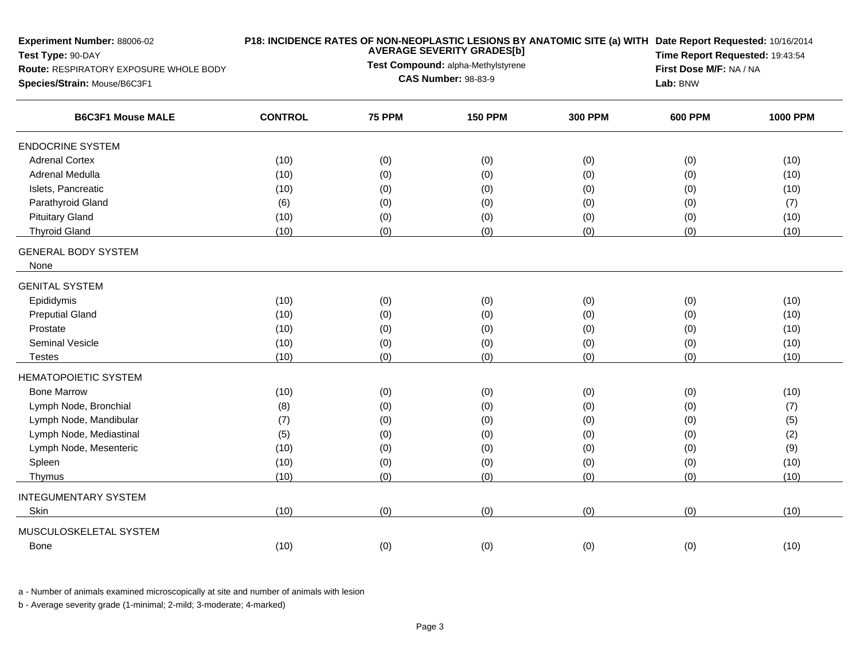| <b>Experiment Number: 88006-02</b><br>Test Type: 90-DAY<br>Route: RESPIRATORY EXPOSURE WHOLE BODY<br>Species/Strain: Mouse/B6C3F1 |                | <b>AVERAGE SEVERITY GRADES[b]</b><br>Test Compound: alpha-Methylstyrene<br><b>CAS Number: 98-83-9</b> | Lab: BNW       | P18: INCIDENCE RATES OF NON-NEOPLASTIC LESIONS BY ANATOMIC SITE (a) WITH Date Report Requested: 10/16/2014<br>Time Report Requested: 19:43:54<br>First Dose M/F: NA / NA |                |                 |
|-----------------------------------------------------------------------------------------------------------------------------------|----------------|-------------------------------------------------------------------------------------------------------|----------------|--------------------------------------------------------------------------------------------------------------------------------------------------------------------------|----------------|-----------------|
| <b>B6C3F1 Mouse MALE</b>                                                                                                          | <b>CONTROL</b> | <b>75 PPM</b>                                                                                         | <b>150 PPM</b> | <b>300 PPM</b>                                                                                                                                                           | <b>600 PPM</b> | <b>1000 PPM</b> |
| <b>ENDOCRINE SYSTEM</b>                                                                                                           |                |                                                                                                       |                |                                                                                                                                                                          |                |                 |
| <b>Adrenal Cortex</b>                                                                                                             | (10)           | (0)                                                                                                   | (0)            | (0)                                                                                                                                                                      | (0)            | (10)            |
| Adrenal Medulla                                                                                                                   | (10)           | (0)                                                                                                   | (0)            | (0)                                                                                                                                                                      | (0)            | (10)            |
| Islets, Pancreatic                                                                                                                | (10)           | (0)                                                                                                   | (0)            | (0)                                                                                                                                                                      | (0)            | (10)            |
| Parathyroid Gland                                                                                                                 | (6)            | (0)                                                                                                   | (0)            | (0)                                                                                                                                                                      | (0)            | (7)             |
| <b>Pituitary Gland</b>                                                                                                            | (10)           | (0)                                                                                                   | (0)            | (0)                                                                                                                                                                      | (0)            | (10)            |
| <b>Thyroid Gland</b>                                                                                                              | (10)           | (0)                                                                                                   | (0)            | (0)                                                                                                                                                                      | (0)            | (10)            |
| <b>GENERAL BODY SYSTEM</b><br>None                                                                                                |                |                                                                                                       |                |                                                                                                                                                                          |                |                 |
| <b>GENITAL SYSTEM</b>                                                                                                             |                |                                                                                                       |                |                                                                                                                                                                          |                |                 |
| Epididymis                                                                                                                        | (10)           | (0)                                                                                                   | (0)            | (0)                                                                                                                                                                      | (0)            | (10)            |
| <b>Preputial Gland</b>                                                                                                            | (10)           | (0)                                                                                                   | (0)            | (0)                                                                                                                                                                      | (0)            | (10)            |
| Prostate                                                                                                                          | (10)           | (0)                                                                                                   | (0)            | (0)                                                                                                                                                                      | (0)            | (10)            |
| <b>Seminal Vesicle</b>                                                                                                            | (10)           | (0)                                                                                                   | (0)            | (0)                                                                                                                                                                      | (0)            | (10)            |
| <b>Testes</b>                                                                                                                     | (10)           | (0)                                                                                                   | (0)            | (0)                                                                                                                                                                      | (0)            | (10)            |
| <b>HEMATOPOIETIC SYSTEM</b>                                                                                                       |                |                                                                                                       |                |                                                                                                                                                                          |                |                 |
| <b>Bone Marrow</b>                                                                                                                | (10)           | (0)                                                                                                   | (0)            | (0)                                                                                                                                                                      | (0)            | (10)            |
| Lymph Node, Bronchial                                                                                                             | (8)            | (0)                                                                                                   | (0)            | (0)                                                                                                                                                                      | (0)            | (7)             |
| Lymph Node, Mandibular                                                                                                            | (7)            | (0)                                                                                                   | (0)            | (0)                                                                                                                                                                      | (0)            | (5)             |
| Lymph Node, Mediastinal                                                                                                           | (5)            | (0)                                                                                                   | (0)            | (0)                                                                                                                                                                      | (0)            | (2)             |
| Lymph Node, Mesenteric                                                                                                            | (10)           | (0)                                                                                                   | (0)            | (0)                                                                                                                                                                      | (0)            | (9)             |
| Spleen                                                                                                                            | (10)           | (0)                                                                                                   | (0)            | (0)                                                                                                                                                                      | (0)            | (10)            |
| Thymus                                                                                                                            | (10)           | (0)                                                                                                   | (0)            | (0)                                                                                                                                                                      | (0)            | (10)            |
| <b>INTEGUMENTARY SYSTEM</b>                                                                                                       |                |                                                                                                       |                |                                                                                                                                                                          |                |                 |
| Skin                                                                                                                              | (10)           | (0)                                                                                                   | (0)            | (0)                                                                                                                                                                      | (0)            | (10)            |
| MUSCULOSKELETAL SYSTEM                                                                                                            |                |                                                                                                       |                |                                                                                                                                                                          |                |                 |
| Bone                                                                                                                              | (10)           | (0)                                                                                                   | (0)            | (0)                                                                                                                                                                      | (0)            | (10)            |
|                                                                                                                                   |                |                                                                                                       |                |                                                                                                                                                                          |                |                 |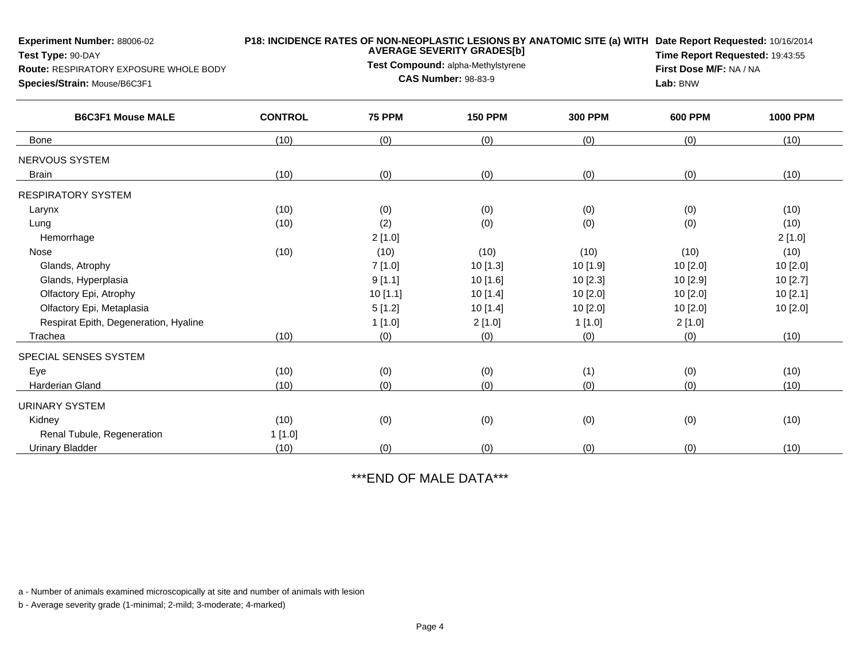| <b>Experiment Number: 88006-02</b><br>Test Type: 90-DAY<br>Route: RESPIRATORY EXPOSURE WHOLE BODY<br>Species/Strain: Mouse/B6C3F1 |                | <b>AVERAGE SEVERITY GRADES[b]</b><br>Test Compound: alpha-Methylstyrene<br><b>CAS Number: 98-83-9</b> | P18: INCIDENCE RATES OF NON-NEOPLASTIC LESIONS BY ANATOMIC SITE (a) WITH Date Report Requested: 10/16/2014<br>Time Report Requested: 19:43:55<br>First Dose M/F: NA / NA<br>Lab: BNW |                |                |                 |
|-----------------------------------------------------------------------------------------------------------------------------------|----------------|-------------------------------------------------------------------------------------------------------|--------------------------------------------------------------------------------------------------------------------------------------------------------------------------------------|----------------|----------------|-----------------|
| <b>B6C3F1 Mouse MALE</b>                                                                                                          | <b>CONTROL</b> | <b>75 PPM</b>                                                                                         | <b>150 PPM</b>                                                                                                                                                                       | <b>300 PPM</b> | <b>600 PPM</b> | <b>1000 PPM</b> |
| <b>Bone</b>                                                                                                                       | (10)           | (0)                                                                                                   | (0)                                                                                                                                                                                  | (0)            | (0)            | (10)            |
| NERVOUS SYSTEM                                                                                                                    |                |                                                                                                       |                                                                                                                                                                                      |                |                |                 |
| <b>Brain</b>                                                                                                                      | (10)           | (0)                                                                                                   | (0)                                                                                                                                                                                  | (0)            | (0)            | (10)            |
| <b>RESPIRATORY SYSTEM</b>                                                                                                         |                |                                                                                                       |                                                                                                                                                                                      |                |                |                 |
| Larynx                                                                                                                            | (10)           | (0)                                                                                                   | (0)                                                                                                                                                                                  | (0)            | (0)            | (10)            |
| Lung                                                                                                                              | (10)           | (2)                                                                                                   | (0)                                                                                                                                                                                  | (0)            | (0)            | (10)            |
| Hemorrhage                                                                                                                        |                | 2[1.0]                                                                                                |                                                                                                                                                                                      |                |                | 2[1.0]          |
| Nose                                                                                                                              | (10)           | (10)                                                                                                  | (10)                                                                                                                                                                                 | (10)           | (10)           | (10)            |
| Glands, Atrophy                                                                                                                   |                | 7[1.0]                                                                                                | 10 [1.3]                                                                                                                                                                             | 10 [1.9]       | 10 [2.0]       | 10 [2.0]        |
| Glands, Hyperplasia                                                                                                               |                | 9[1.1]                                                                                                | 10 [1.6]                                                                                                                                                                             | 10[2.3]        | 10 [2.9]       | 10[2.7]         |
| Olfactory Epi, Atrophy                                                                                                            |                | 10[1.1]                                                                                               | 10[1.4]                                                                                                                                                                              | $10$ [2.0]     | $10$ [2.0]     | 10[2.1]         |
| Olfactory Epi, Metaplasia                                                                                                         |                | 5[1.2]                                                                                                | 10 [1.4]                                                                                                                                                                             | 10[2.0]        | 10[2.0]        | 10[2.0]         |
| Respirat Epith, Degeneration, Hyaline                                                                                             |                | 1[1.0]                                                                                                | 2[1.0]                                                                                                                                                                               | 1[1.0]         | 2[1.0]         |                 |
| Trachea                                                                                                                           | (10)           | (0)                                                                                                   | (0)                                                                                                                                                                                  | (0)            | (0)            | (10)            |
| SPECIAL SENSES SYSTEM                                                                                                             |                |                                                                                                       |                                                                                                                                                                                      |                |                |                 |
| Eye                                                                                                                               | (10)           | (0)                                                                                                   | (0)                                                                                                                                                                                  | (1)            | (0)            | (10)            |
| Harderian Gland                                                                                                                   | (10)           | (0)                                                                                                   | (0)                                                                                                                                                                                  | (0)            | (0)            | (10)            |
| <b>URINARY SYSTEM</b>                                                                                                             |                |                                                                                                       |                                                                                                                                                                                      |                |                |                 |
| Kidney                                                                                                                            | (10)           | (0)                                                                                                   | (0)                                                                                                                                                                                  | (0)            | (0)            | (10)            |
| Renal Tubule, Regeneration                                                                                                        | 1[1.0]         |                                                                                                       |                                                                                                                                                                                      |                |                |                 |
| <b>Urinary Bladder</b>                                                                                                            | (10)           | (0)                                                                                                   | (0)                                                                                                                                                                                  | (0)            | (0)            | (10)            |

\*\*\*END OF MALE DATA\*\*\*

a - Number of animals examined microscopically at site and number of animals with lesion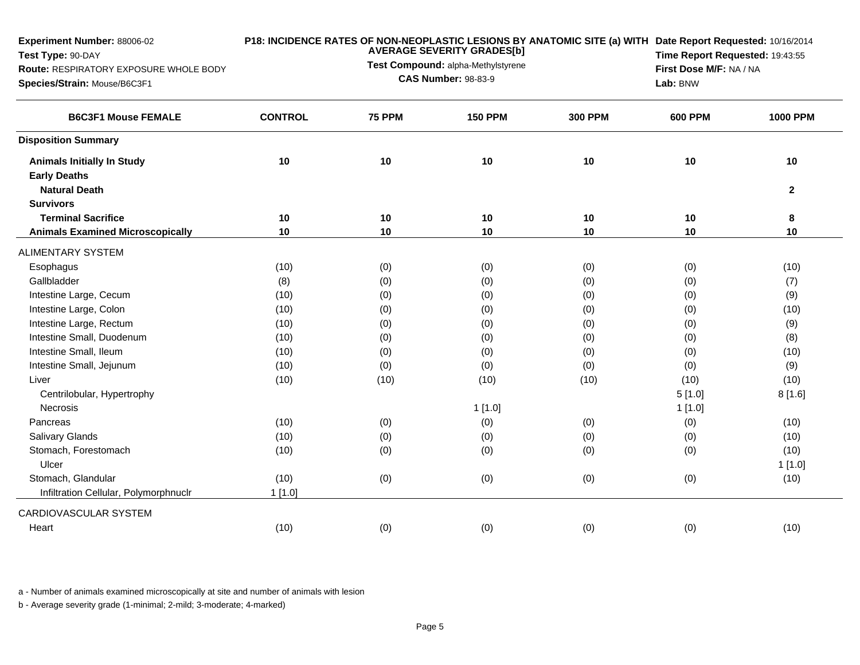| <b>AVERAGE SEVERITY GRADES[b]</b> |               |                | Time Report Requested: 19:43:55                                        |                |                                                                                                                                             |
|-----------------------------------|---------------|----------------|------------------------------------------------------------------------|----------------|---------------------------------------------------------------------------------------------------------------------------------------------|
|                                   |               |                |                                                                        |                |                                                                                                                                             |
|                                   |               | Lab: BNW       |                                                                        |                |                                                                                                                                             |
| <b>CONTROL</b>                    | <b>75 PPM</b> | <b>150 PPM</b> | <b>300 PPM</b>                                                         | <b>600 PPM</b> | <b>1000 PPM</b>                                                                                                                             |
|                                   |               |                |                                                                        |                |                                                                                                                                             |
| 10                                | $10$          | 10             | 10                                                                     | 10             | 10                                                                                                                                          |
|                                   |               |                |                                                                        |                |                                                                                                                                             |
|                                   |               |                |                                                                        |                | $\mathbf{2}$                                                                                                                                |
|                                   |               |                |                                                                        |                |                                                                                                                                             |
| 10                                | 10            | 10             | 10                                                                     | 10             | 8                                                                                                                                           |
|                                   |               |                |                                                                        |                | 10                                                                                                                                          |
|                                   |               |                |                                                                        |                |                                                                                                                                             |
| (10)                              | (0)           | (0)            | (0)                                                                    | (0)            | (10)                                                                                                                                        |
| (8)                               | (0)           | (0)            | (0)                                                                    | (0)            | (7)                                                                                                                                         |
| (10)                              | (0)           | (0)            | (0)                                                                    | (0)            | (9)                                                                                                                                         |
| (10)                              | (0)           | (0)            | (0)                                                                    | (0)            | (10)                                                                                                                                        |
| (10)                              | (0)           | (0)            | (0)                                                                    | (0)            | (9)                                                                                                                                         |
| (10)                              | (0)           | (0)            | (0)                                                                    | (0)            | (8)                                                                                                                                         |
| (10)                              | (0)           | (0)            | (0)                                                                    | (0)            | (10)                                                                                                                                        |
| (10)                              | (0)           | (0)            | (0)                                                                    | (0)            | (9)                                                                                                                                         |
| (10)                              | (10)          | (10)           | (10)                                                                   | (10)           | (10)                                                                                                                                        |
|                                   |               |                |                                                                        | 5[1.0]         | 8[1.6]                                                                                                                                      |
|                                   |               | 1[1.0]         |                                                                        | 1[1.0]         |                                                                                                                                             |
| (10)                              | (0)           | (0)            | (0)                                                                    | (0)            | (10)                                                                                                                                        |
| (10)                              | (0)           | (0)            | (0)                                                                    | (0)            | (10)                                                                                                                                        |
| (10)                              | (0)           | (0)            | (0)                                                                    | (0)            | (10)                                                                                                                                        |
|                                   |               |                |                                                                        |                | 1[1.0]                                                                                                                                      |
| (10)                              | (0)           | (0)            | (0)                                                                    | (0)            | (10)                                                                                                                                        |
| $1$ [1.0]                         |               |                |                                                                        |                |                                                                                                                                             |
|                                   |               |                |                                                                        |                |                                                                                                                                             |
| (10)                              | (0)           | (0)            | (0)                                                                    | (0)            | (10)                                                                                                                                        |
|                                   | 10            | 10             | Test Compound: alpha-Methylstyrene<br><b>CAS Number: 98-83-9</b><br>10 | 10             | P18: INCIDENCE RATES OF NON-NEOPLASTIC LESIONS BY ANATOMIC SITE (a) WITH Date Report Requested: 10/16/2014<br>First Dose M/F: NA / NA<br>10 |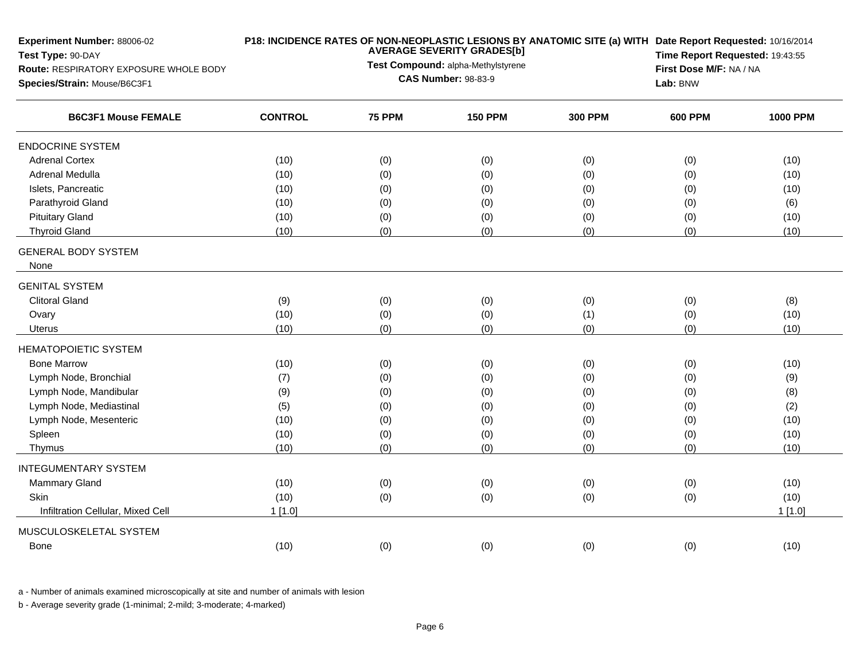| <b>Experiment Number: 88006-02</b><br>Test Type: 90-DAY<br>Route: RESPIRATORY EXPOSURE WHOLE BODY<br>Species/Strain: Mouse/B6C3F1 | P18: INCIDENCE RATES OF NON-NEOPLASTIC LESIONS BY ANATOMIC SITE (a) WITH Date Report Requested: 10/16/2014<br><b>AVERAGE SEVERITY GRADES[b]</b><br>Test Compound: alpha-Methylstyrene<br><b>CAS Number: 98-83-9</b> |               |                |                |                | Time Report Requested: 19:43:55<br>First Dose M/F: NA / NA<br>Lab: BNW |  |
|-----------------------------------------------------------------------------------------------------------------------------------|---------------------------------------------------------------------------------------------------------------------------------------------------------------------------------------------------------------------|---------------|----------------|----------------|----------------|------------------------------------------------------------------------|--|
| <b>B6C3F1 Mouse FEMALE</b>                                                                                                        | <b>CONTROL</b>                                                                                                                                                                                                      | <b>75 PPM</b> | <b>150 PPM</b> | <b>300 PPM</b> | <b>600 PPM</b> | <b>1000 PPM</b>                                                        |  |
| <b>ENDOCRINE SYSTEM</b>                                                                                                           |                                                                                                                                                                                                                     |               |                |                |                |                                                                        |  |
| <b>Adrenal Cortex</b>                                                                                                             | (10)                                                                                                                                                                                                                | (0)           | (0)            | (0)            | (0)            | (10)                                                                   |  |
| Adrenal Medulla                                                                                                                   | (10)                                                                                                                                                                                                                | (0)           | (0)            | (0)            | (0)            | (10)                                                                   |  |
| Islets, Pancreatic                                                                                                                | (10)                                                                                                                                                                                                                | (0)           | (0)            | (0)            | (0)            | (10)                                                                   |  |
| Parathyroid Gland                                                                                                                 | (10)                                                                                                                                                                                                                | (0)           | (0)            | (0)            | (0)            | (6)                                                                    |  |
| <b>Pituitary Gland</b>                                                                                                            | (10)                                                                                                                                                                                                                | (0)           | (0)            | (0)            | (0)            | (10)                                                                   |  |
| <b>Thyroid Gland</b>                                                                                                              | (10)                                                                                                                                                                                                                | (0)           | (0)            | (0)            | (0)            | (10)                                                                   |  |
| <b>GENERAL BODY SYSTEM</b><br>None                                                                                                |                                                                                                                                                                                                                     |               |                |                |                |                                                                        |  |
|                                                                                                                                   |                                                                                                                                                                                                                     |               |                |                |                |                                                                        |  |
| <b>GENITAL SYSTEM</b><br><b>Clitoral Gland</b>                                                                                    |                                                                                                                                                                                                                     |               |                |                |                |                                                                        |  |
|                                                                                                                                   | (9)                                                                                                                                                                                                                 | (0)           | (0)            | (0)            | (0)            | (8)                                                                    |  |
| Ovary                                                                                                                             | (10)<br>(10)                                                                                                                                                                                                        | (0)<br>(0)    | (0)<br>(0)     | (1)<br>(0)     | (0)<br>(0)     | (10)<br>(10)                                                           |  |
| Uterus                                                                                                                            |                                                                                                                                                                                                                     |               |                |                |                |                                                                        |  |
| <b>HEMATOPOIETIC SYSTEM</b>                                                                                                       |                                                                                                                                                                                                                     |               |                |                |                |                                                                        |  |
| <b>Bone Marrow</b>                                                                                                                | (10)                                                                                                                                                                                                                | (0)           | (0)            | (0)            | (0)            | (10)                                                                   |  |
| Lymph Node, Bronchial                                                                                                             | (7)                                                                                                                                                                                                                 | (0)           | (0)            | (0)            | (0)            | (9)                                                                    |  |
| Lymph Node, Mandibular                                                                                                            | (9)                                                                                                                                                                                                                 | (0)           | (0)            | (0)            | (0)            | (8)                                                                    |  |
| Lymph Node, Mediastinal                                                                                                           | (5)                                                                                                                                                                                                                 | (0)           | (0)            | (0)            | (0)            | (2)                                                                    |  |
| Lymph Node, Mesenteric                                                                                                            | (10)                                                                                                                                                                                                                | (0)           | (0)            | (0)            | (0)            | (10)                                                                   |  |
| Spleen                                                                                                                            | (10)                                                                                                                                                                                                                | (0)           | (0)            | (0)            | (0)            | (10)                                                                   |  |
| Thymus                                                                                                                            | (10)                                                                                                                                                                                                                | (0)           | (0)            | (0)            | (0)            | (10)                                                                   |  |
| <b>INTEGUMENTARY SYSTEM</b>                                                                                                       |                                                                                                                                                                                                                     |               |                |                |                |                                                                        |  |
| <b>Mammary Gland</b>                                                                                                              | (10)                                                                                                                                                                                                                | (0)           | (0)            | (0)            | (0)            | (10)                                                                   |  |
| Skin                                                                                                                              | (10)                                                                                                                                                                                                                | (0)           | (0)            | (0)            | (0)            | (10)                                                                   |  |
| Infiltration Cellular, Mixed Cell                                                                                                 | 1[1.0]                                                                                                                                                                                                              |               |                |                |                | 1[1.0]                                                                 |  |
| MUSCULOSKELETAL SYSTEM                                                                                                            |                                                                                                                                                                                                                     |               |                |                |                |                                                                        |  |
| Bone                                                                                                                              | (10)                                                                                                                                                                                                                | (0)           | (0)            | (0)            | (0)            | (10)                                                                   |  |
|                                                                                                                                   |                                                                                                                                                                                                                     |               |                |                |                |                                                                        |  |